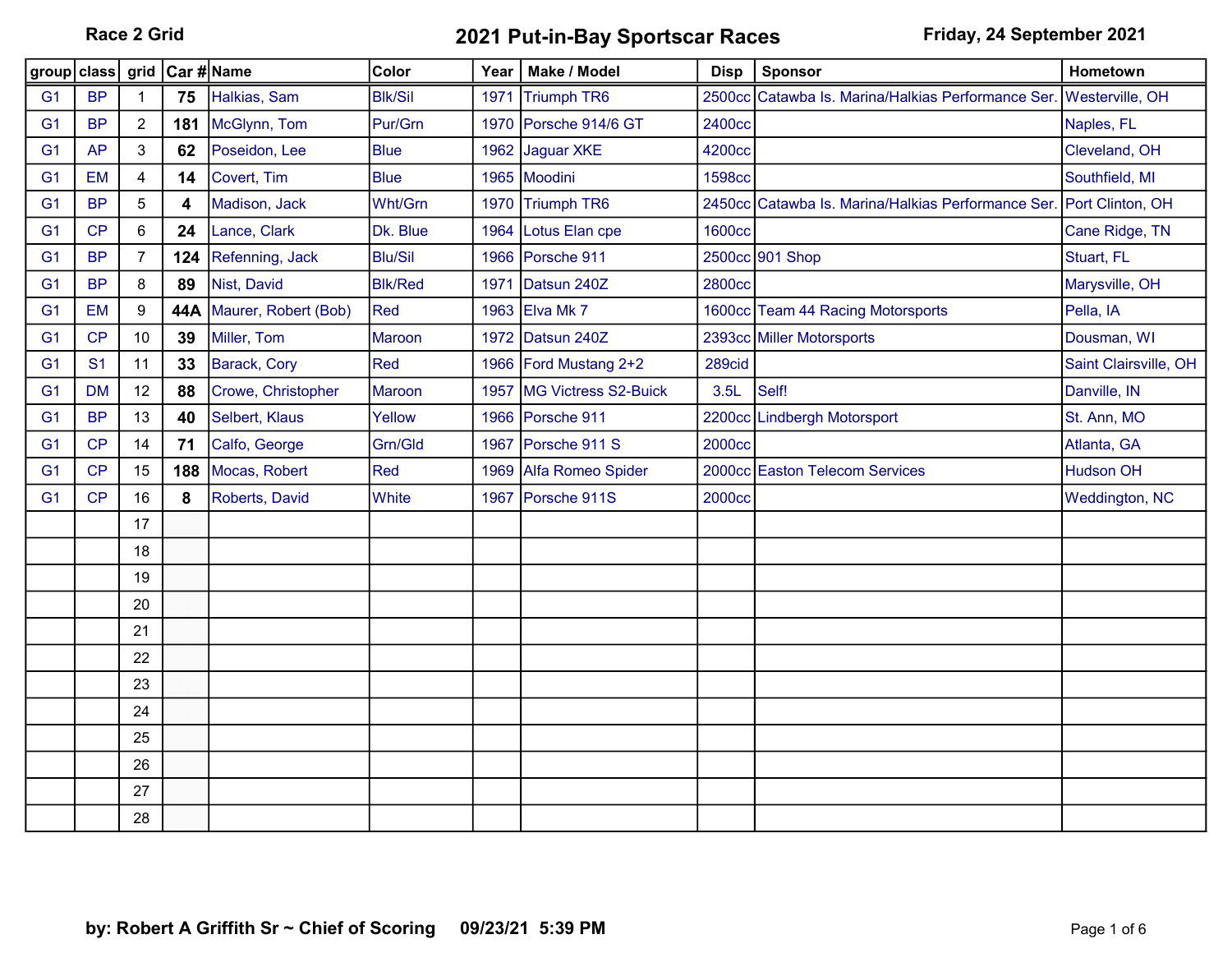Race 2 Grid **2021 Put-in-Bay Sportscar Races** Friday, 24 September 2021

| group class    |                | grid           | Car #∣Name |                      | Color          | Year | Make / Model          | <b>Disp</b>   | <b>Sponsor</b>                                                      | Hometown              |
|----------------|----------------|----------------|------------|----------------------|----------------|------|-----------------------|---------------|---------------------------------------------------------------------|-----------------------|
| G <sub>1</sub> | <b>BP</b>      | $\mathbf{1}$   | 75         | Halkias, Sam         | <b>Blk/Sil</b> | 1971 | <b>Triumph TR6</b>    |               | 2500cc Catawba Is. Marina/Halkias Performance Ser. Westerville, OH  |                       |
| G <sub>1</sub> | <b>BP</b>      | $\overline{2}$ | 181        | McGlynn, Tom         | Pur/Grn        |      | 1970 Porsche 914/6 GT | 2400cc        |                                                                     | Naples, FL            |
| G <sub>1</sub> | <b>AP</b>      | 3              | 62         | Poseidon, Lee        | <b>Blue</b>    |      | 1962 Jaguar XKE       | 4200cc        |                                                                     | Cleveland, OH         |
| G <sub>1</sub> | <b>EM</b>      | 4              | 14         | Covert, Tim          | <b>Blue</b>    |      | 1965 Moodini          | <b>1598cc</b> |                                                                     | Southfield, MI        |
| G <sub>1</sub> | <b>BP</b>      | 5              | 4          | Madison, Jack        | Wht/Grn        |      | 1970 Triumph TR6      |               | 2450cc Catawba Is. Marina/Halkias Performance Ser. Port Clinton, OH |                       |
| G <sub>1</sub> | CP             | 6              | 24         | Lance, Clark         | Dk. Blue       |      | 1964 Lotus Elan cpe   | <b>1600cc</b> |                                                                     | Cane Ridge, TN        |
| G <sub>1</sub> | <b>BP</b>      | 7              | 124        | Refenning, Jack      | <b>Blu/Sil</b> |      | 1966 Porsche 911      |               | 2500cc 901 Shop                                                     | Stuart, FL            |
| G <sub>1</sub> | <b>BP</b>      | 8              | 89         | Nist, David          | <b>Blk/Red</b> | 1971 | Datsun 240Z           | <b>2800cc</b> |                                                                     | Marysville, OH        |
| G <sub>1</sub> | <b>EM</b>      | $9\,$          | 44A        | Maurer, Robert (Bob) | Red            |      | 1963 Elva Mk 7        |               | 1600cc Team 44 Racing Motorsports                                   | Pella, IA             |
| G <sub>1</sub> | CP             | 10             | 39         | Miller, Tom          | <b>Maroon</b>  |      | 1972 Datsun 240Z      |               | 2393cc Miller Motorsports                                           | Dousman, WI           |
| G <sub>1</sub> | S <sub>1</sub> | 11             | 33         | Barack, Cory         | Red            |      | 1966 Ford Mustang 2+2 | 289cid        |                                                                     | Saint Clairsville, OH |
| G <sub>1</sub> | <b>DM</b>      | 12             | 88         | Crowe, Christopher   | <b>Maroon</b>  | 1957 | MG Victress S2-Buick  | 3.5L          | Self!                                                               | Danville, IN          |
| G <sub>1</sub> | <b>BP</b>      | 13             | 40         | Selbert, Klaus       | Yellow         |      | 1966 Porsche 911      |               | 2200cc Lindbergh Motorsport                                         | St. Ann, MO           |
| G <sub>1</sub> | CP             | 14             | 71         | Calfo, George        | Grn/Gld        | 1967 | Porsche 911 S         | <b>2000cc</b> |                                                                     | Atlanta, GA           |
| G <sub>1</sub> | CP             | 15             | 188        | Mocas, Robert        | Red            | 1969 | Alfa Romeo Spider     |               | 2000cc Easton Telecom Services                                      | <b>Hudson OH</b>      |
| G <sub>1</sub> | CP             | 16             | 8          | Roberts, David       | White          | 1967 | Porsche 911S          | <b>2000cc</b> |                                                                     | <b>Weddington, NC</b> |
|                |                | 17             |            |                      |                |      |                       |               |                                                                     |                       |
|                |                | 18             |            |                      |                |      |                       |               |                                                                     |                       |
|                |                | 19             |            |                      |                |      |                       |               |                                                                     |                       |
|                |                | 20             |            |                      |                |      |                       |               |                                                                     |                       |
|                |                | 21             |            |                      |                |      |                       |               |                                                                     |                       |
|                |                | 22             |            |                      |                |      |                       |               |                                                                     |                       |
|                |                | 23             |            |                      |                |      |                       |               |                                                                     |                       |
|                |                | 24             |            |                      |                |      |                       |               |                                                                     |                       |
|                |                | 25             |            |                      |                |      |                       |               |                                                                     |                       |
|                |                | 26             |            |                      |                |      |                       |               |                                                                     |                       |
|                |                | 27             |            |                      |                |      |                       |               |                                                                     |                       |
|                |                | 28             |            |                      |                |      |                       |               |                                                                     |                       |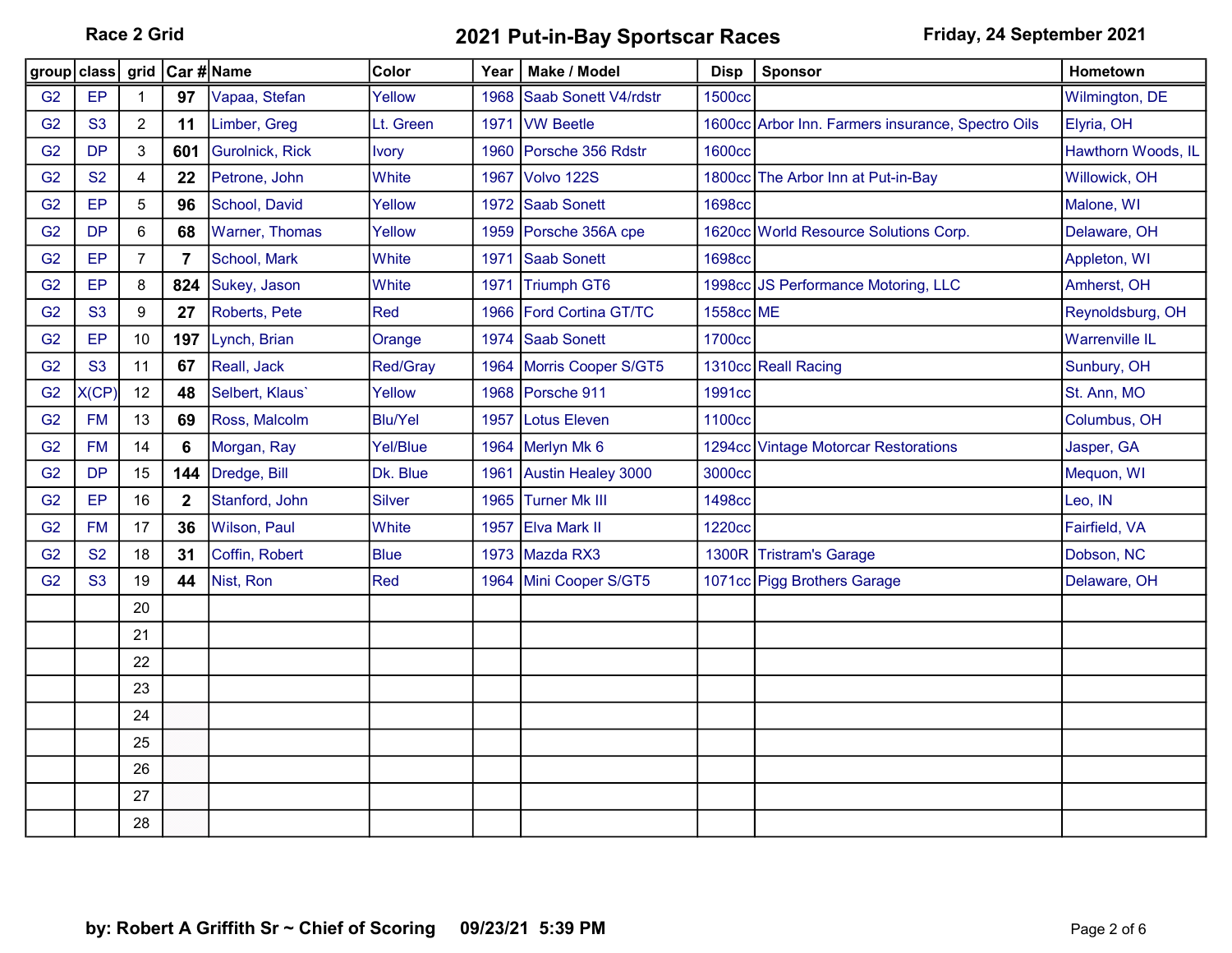Race 2 Grid **2021 Put-in-Bay Sportscar Races** Friday, 24 September 2021

| group class grid Car # Name |           |                |                |                       | Color           | Year ∣ | Make / Model              | <b>Disp</b>   | <b>Sponsor</b>                                    | Hometown              |
|-----------------------------|-----------|----------------|----------------|-----------------------|-----------------|--------|---------------------------|---------------|---------------------------------------------------|-----------------------|
| G <sub>2</sub>              | EP        | 1              | 97             | Vapaa, Stefan         | Yellow          | 1968   | Saab Sonett V4/rdstr      | <b>1500cc</b> |                                                   | Wilmington, DE        |
| G <sub>2</sub>              | <b>S3</b> | $\overline{c}$ | 11             | Limber, Greg          | Lt. Green       |        | 1971 IVW Beetle           |               | 1600cc Arbor Inn. Farmers insurance, Spectro Oils | Elyria, OH            |
| G <sub>2</sub>              | <b>DP</b> | 3              | 601            | Gurolnick, Rick       | <b>Ivory</b>    |        | 1960 Porsche 356 Rdstr    | <b>1600cc</b> |                                                   | Hawthorn Woods, IL    |
| G <sub>2</sub>              | <b>S2</b> | 4              | 22             | Petrone, John         | White           | 1967   | Volvo 122S                |               | 1800cc The Arbor Inn at Put-in-Bay                | Willowick, OH         |
| G <sub>2</sub>              | EP        | 5              | 96             | School, David         | Yellow          |        | 1972 Saab Sonett          | <b>1698cc</b> |                                                   | Malone, WI            |
| G <sub>2</sub>              | <b>DP</b> | 6              | 68             | <b>Warner, Thomas</b> | Yellow          | 1959   | Porsche 356A cpe          |               | 1620cc World Resource Solutions Corp.             | Delaware, OH          |
| G <sub>2</sub>              | EP        | 7              | $\overline{7}$ | School, Mark          | White           | 1971   | <b>Saab Sonett</b>        | <b>1698cc</b> |                                                   | Appleton, WI          |
| G <sub>2</sub>              | EP        | 8              | 824            | Sukey, Jason          | White           | 1971   | Triumph GT6               |               | 1998cc JS Performance Motoring, LLC               | Amherst, OH           |
| G <sub>2</sub>              | <b>S3</b> | 9              | 27             | Roberts, Pete         | Red             | 1966   | <b>Ford Cortina GT/TC</b> | 1558cc ME     |                                                   | Reynoldsburg, OH      |
| G <sub>2</sub>              | EP        | 10             | 197            | Lynch, Brian          | Orange          |        | 1974 Saab Sonett          | <b>1700cc</b> |                                                   | <b>Warrenville IL</b> |
| G2                          | <b>S3</b> | 11             | 67             | Reall, Jack           | Red/Gray        |        | 1964 Morris Cooper S/GT5  |               | 1310cc Reall Racing                               | Sunbury, OH           |
| G <sub>2</sub>              | X(CP)     | 12             | 48             | Selbert, Klaus'       | Yellow          |        | 1968 Porsche 911          | 1991cc        |                                                   | St. Ann, MO           |
| G <sub>2</sub>              | <b>FM</b> | 13             | 69             | Ross, Malcolm         | <b>Blu/Yel</b>  | 1957   | <b>Lotus Eleven</b>       | 1100cc        |                                                   | Columbus, OH          |
| G <sub>2</sub>              | <b>FM</b> | 14             | 6              | Morgan, Ray           | <b>Yel/Blue</b> |        | 1964 Merlyn Mk 6          |               | 1294cc Vintage Motorcar Restorations              | Jasper, GA            |
| G <sub>2</sub>              | <b>DP</b> | 15             | 144            | Dredge, Bill          | Dk. Blue        |        | 1961 Austin Healey 3000   | 3000cc        |                                                   | Mequon, WI            |
| G <sub>2</sub>              | EP        | 16             | $\mathbf{2}$   | Stanford, John        | <b>Silver</b>   |        | 1965 Turner Mk III        | <b>1498cc</b> |                                                   | Leo, IN               |
| G <sub>2</sub>              | <b>FM</b> | 17             | 36             | Wilson, Paul          | White           |        | 1957 Elva Mark II         | 1220cc        |                                                   | Fairfield, VA         |
| G <sub>2</sub>              | <b>S2</b> | 18             | 31             | Coffin, Robert        | <b>Blue</b>     |        | 1973 Mazda RX3            | 1300R         | <b>Tristram's Garage</b>                          | Dobson, NC            |
| G <sub>2</sub>              | <b>S3</b> | 19             | 44             | Nist, Ron             | Red             |        | 1964 Mini Cooper S/GT5    |               | 1071cc Pigg Brothers Garage                       | Delaware, OH          |
|                             |           | 20             |                |                       |                 |        |                           |               |                                                   |                       |
|                             |           | 21             |                |                       |                 |        |                           |               |                                                   |                       |
|                             |           | 22             |                |                       |                 |        |                           |               |                                                   |                       |
|                             |           | 23             |                |                       |                 |        |                           |               |                                                   |                       |
|                             |           | 24             |                |                       |                 |        |                           |               |                                                   |                       |
|                             |           | 25             |                |                       |                 |        |                           |               |                                                   |                       |
|                             |           | 26             |                |                       |                 |        |                           |               |                                                   |                       |
|                             |           | 27             |                |                       |                 |        |                           |               |                                                   |                       |
|                             |           | 28             |                |                       |                 |        |                           |               |                                                   |                       |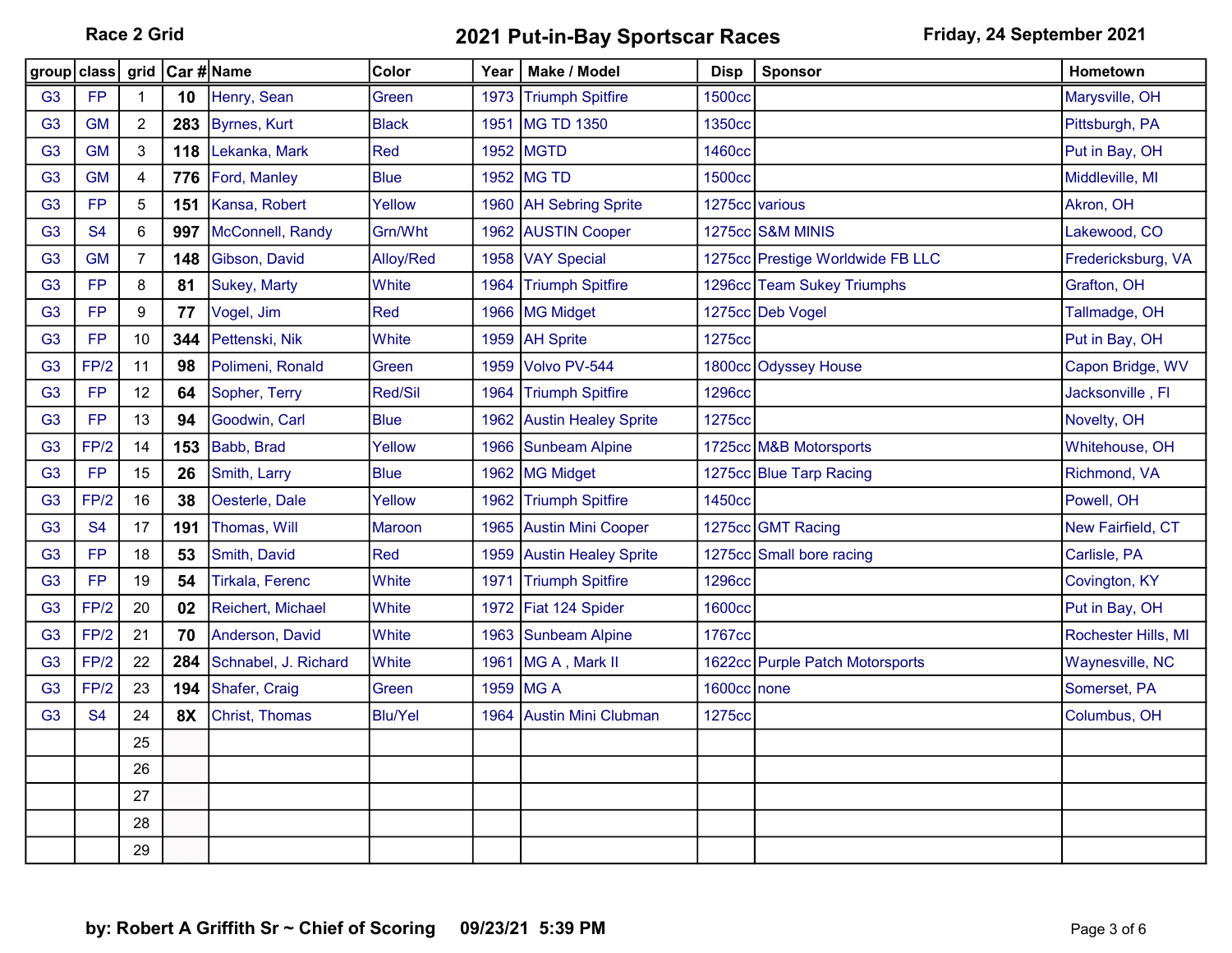Race 2 Grid **2021 Put-in-Bay Sportscar Races** Friday, 24 September 2021

| group class    |                | grid           | Car #∣Name |                        | Color          | Year | Make / Model              | <b>Disp</b>        | <b>Sponsor</b>                   | Hometown            |
|----------------|----------------|----------------|------------|------------------------|----------------|------|---------------------------|--------------------|----------------------------------|---------------------|
| G <sub>3</sub> | <b>FP</b>      | 1              | 10         | Henry, Sean            | Green          |      | 1973 Triumph Spitfire     | <b>1500cc</b>      |                                  | Marysville, OH      |
| G <sub>3</sub> | <b>GM</b>      | $\overline{2}$ | 283        | <b>Byrnes, Kurt</b>    | <b>Black</b>   | 1951 | MG TD 1350                | 1350cc             |                                  | Pittsburgh, PA      |
| G <sub>3</sub> | <b>GM</b>      | 3              | 118        | Lekanka, Mark          | Red            |      | 1952 MGTD                 | <b>1460cc</b>      |                                  | Put in Bay, OH      |
| G <sub>3</sub> | <b>GM</b>      | 4              | 776        | Ford, Manley           | <b>Blue</b>    |      | 1952 MG TD                | 1500 <sub>cc</sub> |                                  | Middleville, MI     |
| G <sub>3</sub> | <b>FP</b>      | 5              | 151        | Kansa, Robert          | Yellow         |      | 1960 AH Sebring Sprite    |                    | 1275cc various                   | Akron, OH           |
| G <sub>3</sub> | S <sub>4</sub> | 6              | 997        | McConnell, Randy       | Grn/Wht        |      | 1962 AUSTIN Cooper        |                    | 1275cc S&M MINIS                 | Lakewood, CO        |
| G <sub>3</sub> | <b>GM</b>      | $\overline{7}$ | 148        | Gibson, David          | Alloy/Red      |      | 1958 VAY Special          |                    | 1275cc Prestige Worldwide FB LLC | Fredericksburg, VA  |
| G <sub>3</sub> | <b>FP</b>      | 8              | 81         | <b>Sukey, Marty</b>    | White          |      | 1964 Triumph Spitfire     |                    | 1296cc Team Sukey Triumphs       | Grafton, OH         |
| G <sub>3</sub> | <b>FP</b>      | 9              | 77         | Vogel, Jim             | Red            |      | 1966 MG Midget            |                    | 1275cc Deb Vogel                 | Tallmadge, OH       |
| G <sub>3</sub> | <b>FP</b>      | 10             | 344        | Pettenski, Nik         | White          |      | 1959   AH Sprite          | 1275cc             |                                  | Put in Bay, OH      |
| G <sub>3</sub> | FP/2           | 11             | 98         | Polimeni, Ronald       | Green          | 1959 | Volvo PV-544              |                    | 1800cc Odyssey House             | Capon Bridge, WV    |
| G <sub>3</sub> | <b>FP</b>      | 12             | 64         | Sopher, Terry          | Red/Sil        |      | 1964 Triumph Spitfire     | <b>1296cc</b>      |                                  | Jacksonville, Fl    |
| G <sub>3</sub> | <b>FP</b>      | 13             | 94         | Goodwin, Carl          | <b>Blue</b>    |      | 1962 Austin Healey Sprite | 1275cc             |                                  | Novelty, OH         |
| G <sub>3</sub> | FP/2           | 14             | 153        | Babb, Brad             | Yellow         |      | 1966 Sunbeam Alpine       |                    | 1725cc M&B Motorsports           | Whitehouse, OH      |
| G <sub>3</sub> | <b>FP</b>      | 15             | 26         | Smith, Larry           | <b>Blue</b>    |      | 1962 MG Midget            |                    | 1275cc Blue Tarp Racing          | Richmond, VA        |
| G <sub>3</sub> | FP/2           | 16             | 38         | Oesterle, Dale         | Yellow         |      | 1962 Triumph Spitfire     | 1450cc             |                                  | Powell, OH          |
| G <sub>3</sub> | <b>S4</b>      | 17             | 191        | Thomas, Will           | <b>Maroon</b>  |      | 1965 Austin Mini Cooper   |                    | 1275cc GMT Racing                | New Fairfield, CT   |
| G <sub>3</sub> | <b>FP</b>      | 18             | 53         | Smith, David           | Red            |      | 1959 Austin Healey Sprite |                    | 1275cc Small bore racing         | Carlisle, PA        |
| G <sub>3</sub> | <b>FP</b>      | 19             | 54         | <b>Tirkala, Ferenc</b> | White          | 1971 | <b>Triumph Spitfire</b>   | <b>1296cc</b>      |                                  | Covington, KY       |
| G <sub>3</sub> | FP/2           | 20             | 02         | Reichert, Michael      | White          |      | 1972 Fiat 124 Spider      | <b>1600cc</b>      |                                  | Put in Bay, OH      |
| G <sub>3</sub> | FP/2           | 21             | 70         | Anderson, David        | White          |      | 1963 Sunbeam Alpine       | 1767cc             |                                  | Rochester Hills, MI |
| G <sub>3</sub> | FP/2           | 22             | 284        | Schnabel, J. Richard   | White          | 1961 | MG A, Mark II             |                    | 1622cc Purple Patch Motorsports  | Waynesville, NC     |
| G <sub>3</sub> | FP/2           | 23             | 194        | Shafer, Craig          | Green          |      | 1959 MG A                 | 1600cc none        |                                  | Somerset, PA        |
| G <sub>3</sub> | <b>S4</b>      | 24             | 8X         | Christ, Thomas         | <b>Blu/Yel</b> |      | 1964 Austin Mini Clubman  | 1275cc             |                                  | Columbus, OH        |
|                |                | 25             |            |                        |                |      |                           |                    |                                  |                     |
|                |                | 26             |            |                        |                |      |                           |                    |                                  |                     |
|                |                | 27             |            |                        |                |      |                           |                    |                                  |                     |
|                |                | 28             |            |                        |                |      |                           |                    |                                  |                     |
|                |                | 29             |            |                        |                |      |                           |                    |                                  |                     |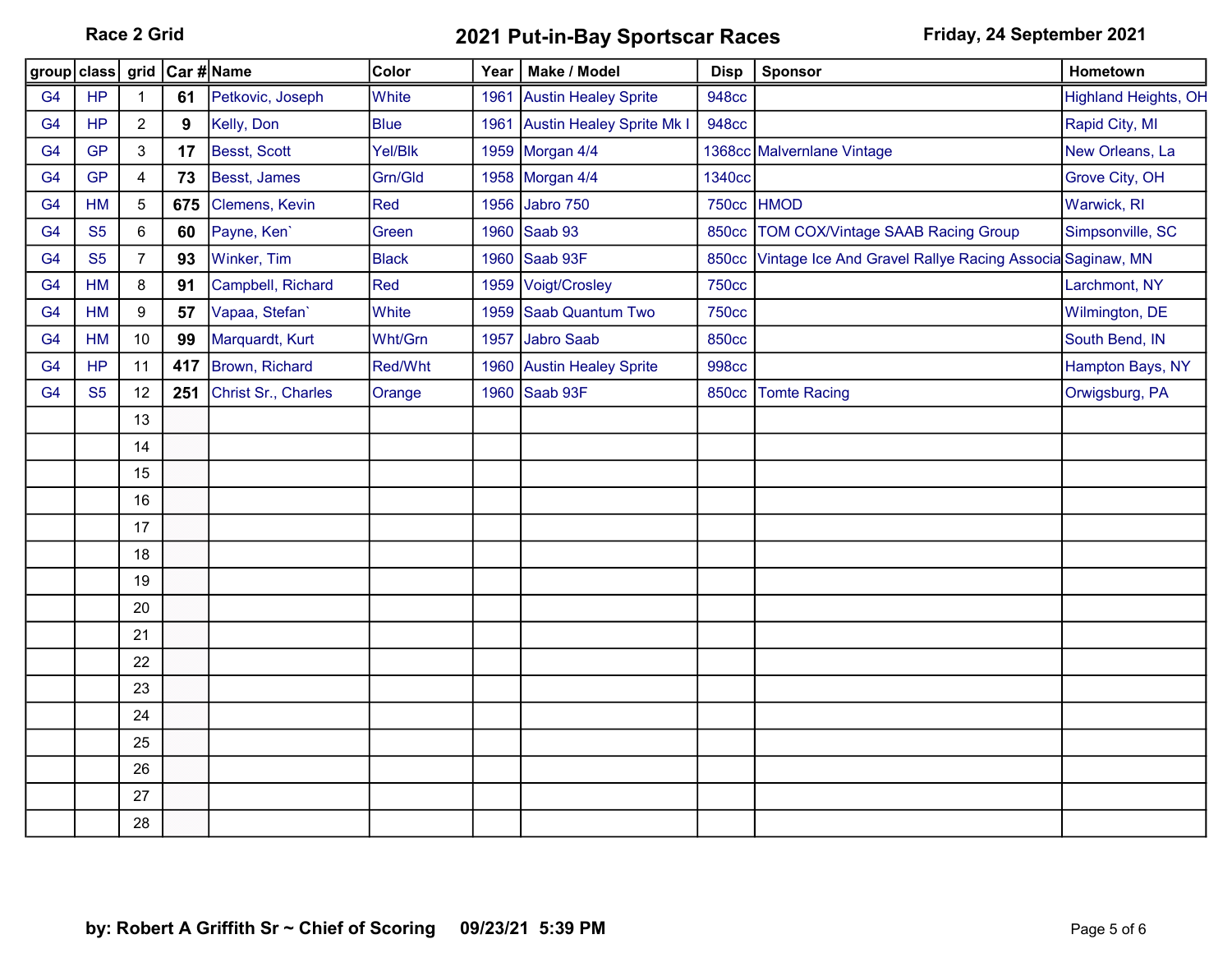Race 2 Grid **2021 Put-in-Bay Sportscar Races** Friday, 24 September 2021

| group   class  |           |                | grid Car #Name |                     | Color        | Year | Make / Model                     | <b>Disp</b>  | Sponsor                                                        | Hometown                    |
|----------------|-----------|----------------|----------------|---------------------|--------------|------|----------------------------------|--------------|----------------------------------------------------------------|-----------------------------|
| G <sub>4</sub> | <b>HP</b> | $\mathbf 1$    | 61             | Petkovic, Joseph    | White        | 1961 | <b>Austin Healey Sprite</b>      | <b>948cc</b> |                                                                | <b>Highland Heights, OH</b> |
| G <sub>4</sub> | <b>HP</b> | $\overline{2}$ | 9              | Kelly, Don          | <b>Blue</b>  | 1961 | <b>Austin Healey Sprite Mk I</b> | <b>948cc</b> |                                                                | Rapid City, MI              |
| G <sub>4</sub> | <b>GP</b> | 3              | 17             | Besst, Scott        | Yel/Blk      |      | 1959 Morgan 4/4                  |              | 1368cc Malvernlane Vintage                                     | New Orleans, La             |
| G <sub>4</sub> | <b>GP</b> | 4              | 73             | Besst, James        | Grn/Gld      |      | 1958 Morgan 4/4                  | 1340cc       |                                                                | Grove City, OH              |
| G <sub>4</sub> | HM        | $\mathbf 5$    | 675            | Clemens, Kevin      | Red          |      | 1956 Jabro 750                   |              | 750cc HMOD                                                     | Warwick, RI                 |
| G <sub>4</sub> | <b>S5</b> | 6              | 60             | Payne, Ken'         | Green        |      | 1960 Saab 93                     | <b>850cc</b> | TOM COX/Vintage SAAB Racing Group                              | Simpsonville, SC            |
| G <sub>4</sub> | <b>S5</b> | $\overline{7}$ | 93             | Winker, Tim         | <b>Black</b> |      | 1960 Saab 93F                    |              | 850cc Vintage Ice And Gravel Rallye Racing Associa Saginaw, MN |                             |
| G <sub>4</sub> | HM        | 8              | 91             | Campbell, Richard   | Red          |      | 1959 Voigt/Crosley               | <b>750cc</b> |                                                                | Larchmont, NY               |
| G <sub>4</sub> | <b>HM</b> | 9              | 57             | Vapaa, Stefan'      | White        | 1959 | Saab Quantum Two                 | <b>750cc</b> |                                                                | Wilmington, DE              |
| G <sub>4</sub> | <b>HM</b> | 10             | 99             | Marquardt, Kurt     | Wht/Grn      |      | 1957 Jabro Saab                  | <b>850cc</b> |                                                                | South Bend, IN              |
| G <sub>4</sub> | HP        | 11             | 417            | Brown, Richard      | Red/Wht      |      | 1960 Austin Healey Sprite        | <b>998cc</b> |                                                                | Hampton Bays, NY            |
| G <sub>4</sub> | <b>S5</b> | 12             | 251            | Christ Sr., Charles | Orange       |      | 1960 Saab 93F                    | <b>850cc</b> | <b>Tomte Racing</b>                                            | Orwigsburg, PA              |
|                |           | 13             |                |                     |              |      |                                  |              |                                                                |                             |
|                |           | 14             |                |                     |              |      |                                  |              |                                                                |                             |
|                |           | 15             |                |                     |              |      |                                  |              |                                                                |                             |
|                |           | 16             |                |                     |              |      |                                  |              |                                                                |                             |
|                |           | 17             |                |                     |              |      |                                  |              |                                                                |                             |
|                |           | 18             |                |                     |              |      |                                  |              |                                                                |                             |
|                |           | 19             |                |                     |              |      |                                  |              |                                                                |                             |
|                |           | 20             |                |                     |              |      |                                  |              |                                                                |                             |
|                |           | 21             |                |                     |              |      |                                  |              |                                                                |                             |
|                |           | 22             |                |                     |              |      |                                  |              |                                                                |                             |
|                |           | 23             |                |                     |              |      |                                  |              |                                                                |                             |
|                |           | 24             |                |                     |              |      |                                  |              |                                                                |                             |
|                |           | 25             |                |                     |              |      |                                  |              |                                                                |                             |
|                |           | 26             |                |                     |              |      |                                  |              |                                                                |                             |
|                |           | 27             |                |                     |              |      |                                  |              |                                                                |                             |
|                |           | 28             |                |                     |              |      |                                  |              |                                                                |                             |